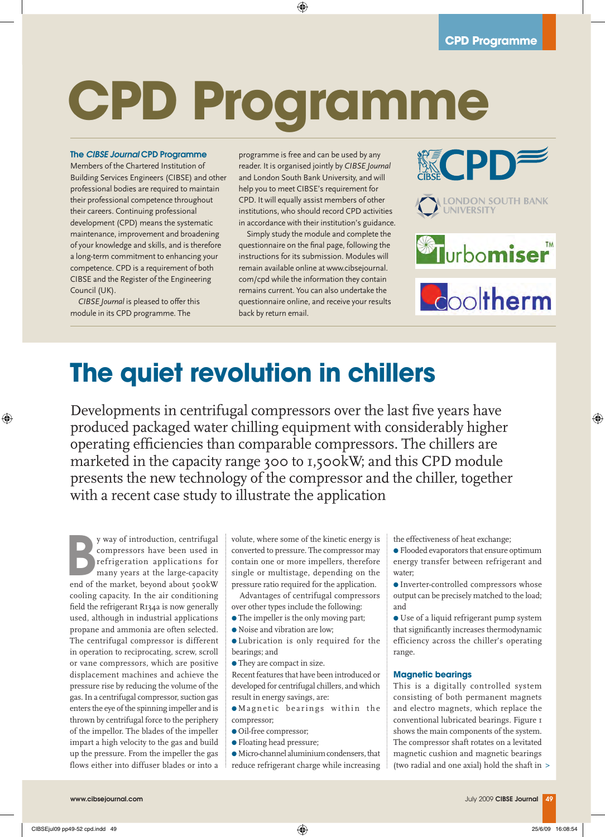# **CPD Programme**

#### The *CIBSE Journal* CPD Programme

Members of the Chartered Institution of Building Services Engineers (CIBSE) and other professional bodies are required to maintain their professional competence throughout their careers. Continuing professional development (CPD) means the systematic maintenance, improvement and broadening of your knowledge and skills, and is therefore a long-term commitment to enhancing your competence. CPD is a requirement of both CIBSE and the Register of the Engineering Council (UK).

*CIBSE Journal* is pleased to offer this module in its CPD programme. The

programme is free and can be used by any reader. It is organised jointly by *CIBSE Journal* and London South Bank University, and will help you to meet CIBSE's requirement for CPD. It will equally assist members of other institutions, who should record CPD activities in accordance with their institution's guidance.

Simply study the module and complete the questionnaire on the final page, following the instructions for its submission. Modules will remain available online at www.cibsejournal. com/cpd while the information they contain remains current. You can also undertake the questionnaire online, and receive your results back by return email.







## **The quiet revolution in chillers**

Developments in centrifugal compressors over the last five years have produced packaged water chilling equipment with considerably higher operating efficiencies than comparable compressors. The chillers are marketed in the capacity range 300 to 1,500kW; and this CPD module presents the new technology of the compressor and the chiller, together with a recent case study to illustrate the application

y way of introduction, centrifugal<br>
compressors have been used in<br>
refrigeration applications for<br>
many years at the large-capacity<br>
end of the market, beyond about 500kW y way of introduction, centrifugal compressors have been used in refrigeration applications for many years at the large-capacity cooling capacity. In the air conditioning field the refrigerant R134a is now generally used, although in industrial applications propane and ammonia are often selected. The centrifugal compressor is different in operation to reciprocating, screw, scroll or vane compressors, which are positive displacement machines and achieve the pressure rise by reducing the volume of the gas. In a centrifugal compressor, suction gas enters the eye of the spinning impeller and is thrown by centrifugal force to the periphery of the impellor. The blades of the impeller impart a high velocity to the gas and build up the pressure. From the impeller the gas flows either into diffuser blades or into a

volute, where some of the kinetic energy is converted to pressure. The compressor may contain one or more impellers, therefore single or multistage, depending on the pressure ratio required for the application.

Advantages of centrifugal compressors over other types include the following:

- The impeller is the only moving part;
- $\bullet$  Noise and vibration are low;

l Lubrication is only required for the bearings; and

 $\bullet$  They are compact in size.

Recent features that have been introduced or developed for centrifugal chillers, and which result in energy savings, are:

 $\bullet$  Magnetic bearings within the compressor;

- $\bullet$  Oil-free compressor;
- **•** Floating head pressure;

 $\bullet$  Micro-channel aluminium condensers, that reduce refrigerant charge while increasing the effectiveness of heat exchange;

- **•** Flooded evaporators that ensure optimum energy transfer between refrigerant and water;
- $\bullet$  Inverter-controlled compressors whose output can be precisely matched to the load; and

 $\bullet$  Use of a liquid refrigerant pump system that significantly increases thermodynamic efficiency across the chiller's operating range.

#### **Magnetic bearings**

This is a digitally controlled system consisting of both permanent magnets and electro magnets, which replace the conventional lubricated bearings. Figure 1 shows the main components of the system. The compressor shaft rotates on a levitated magnetic cushion and magnetic bearings (two radial and one axial) hold the shaft in >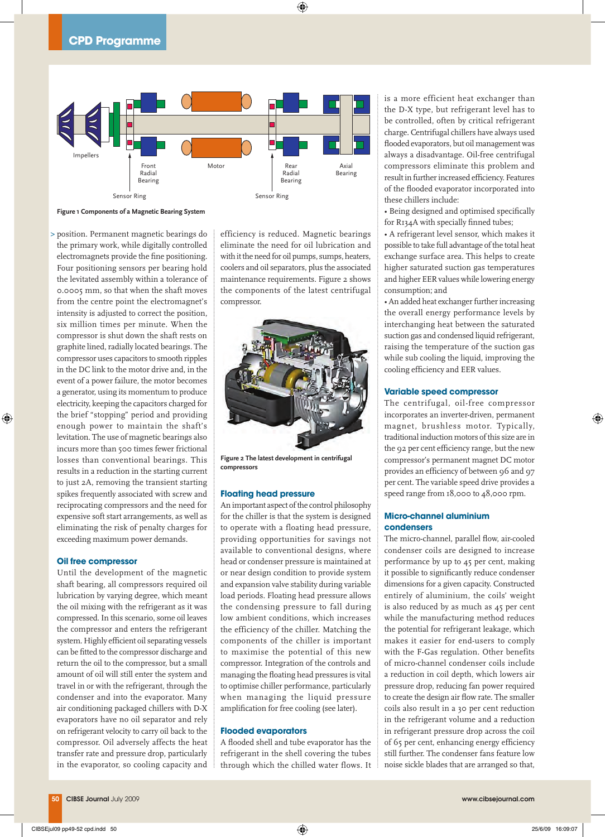

**Figure 1 Components of a Magnetic Bearing System**

position. Permanent magnetic bearings do > the primary work, while digitally controlled electromagnets provide the fine positioning. Four positioning sensors per bearing hold the levitated assembly within a tolerance of 0.0005 mm, so that when the shaft moves from the centre point the electromagnet's intensity is adjusted to correct the position, six million times per minute. When the compressor is shut down the shaft rests on graphite lined, radially located bearings. The compressor uses capacitors to smooth ripples in the DC link to the motor drive and, in the event of a power failure, the motor becomes a generator, using its momentum to produce electricity, keeping the capacitors charged for the brief "stopping" period and providing enough power to maintain the shaft's levitation. The use of magnetic bearings also incurs more than 500 times fewer frictional losses than conventional bearings. This results in a reduction in the starting current to just 2A, removing the transient starting spikes frequently associated with screw and reciprocating compressors and the need for expensive soft start arrangements, as well as eliminating the risk of penalty charges for exceeding maximum power demands.

#### **Oil free compressor**

Until the development of the magnetic shaft bearing, all compressors required oil lubrication by varying degree, which meant the oil mixing with the refrigerant as it was compressed. In this scenario, some oil leaves the compressor and enters the refrigerant system. Highly efficient oil separating vessels can be fitted to the compressor discharge and return the oil to the compressor, but a small amount of oil will still enter the system and travel in or with the refrigerant, through the condenser and into the evaporator. Many air conditioning packaged chillers with D-X evaporators have no oil separator and rely on refrigerant velocity to carry oil back to the compressor. Oil adversely affects the heat transfer rate and pressure drop, particularly in the evaporator, so cooling capacity and efficiency is reduced. Magnetic bearings eliminate the need for oil lubrication and with it the need for oil pumps, sumps, heaters, coolers and oil separators, plus the associated maintenance requirements. Figure 2 shows the components of the latest centrifugal compressor.



**Figure 2 The latest development in centrifugal compressors**

#### **Floating head pressure**

An important aspect of the control philosophy for the chiller is that the system is designed to operate with a floating head pressure, providing opportunities for savings not available to conventional designs, where head or condenser pressure is maintained at or near design condition to provide system and expansion valve stability during variable load periods. Floating head pressure allows the condensing pressure to fall during low ambient conditions, which increases the efficiency of the chiller. Matching the components of the chiller is important to maximise the potential of this new compressor. Integration of the controls and managing the floating head pressures is vital to optimise chiller performance, particularly when managing the liquid pressure amplification for free cooling (see later).

#### **Flooded evaporators**

A flooded shell and tube evaporator has the refrigerant in the shell covering the tubes through which the chilled water flows. It is a more efficient heat exchanger than the D-X type, but refrigerant level has to be controlled, often by critical refrigerant charge. Centrifugal chillers have always used flooded evaporators, but oil management was always a disadvantage. Oil-free centrifugal compressors eliminate this problem and result in further increased efficiency. Features of the flooded evaporator incorporated into these chillers include:

• Being designed and optimised specifically for R134A with specially finned tubes;

• A refrigerant level sensor, which makes it possible to take full advantage of the total heat exchange surface area. This helps to create higher saturated suction gas temperatures and higher EER values while lowering energy consumption; and

• An added heat exchanger further increasing the overall energy performance levels by interchanging heat between the saturated suction gas and condensed liquid refrigerant, raising the temperature of the suction gas while sub cooling the liquid, improving the cooling efficiency and EER values.

#### **Variable speed compressor**

The centrifugal, oil-free compressor incorporates an inverter-driven, permanent magnet, brushless motor. Typically, traditional induction motors of this size are in the 92 per cent efficiency range, but the new compressor's permanent magnet DC motor provides an efficiency of between 96 and 97 per cent. The variable speed drive provides a speed range from 18,000 to 48,000 rpm.

#### **Micro-channel aluminium condensers**

The micro-channel, parallel flow, air-cooled condenser coils are designed to increase performance by up to 45 per cent, making it possible to significantly reduce condenser dimensions for a given capacity. Constructed entirely of aluminium, the coils' weight is also reduced by as much as 45 per cent while the manufacturing method reduces the potential for refrigerant leakage, which makes it easier for end-users to comply with the F-Gas regulation. Other benefits of micro-channel condenser coils include a reduction in coil depth, which lowers air pressure drop, reducing fan power required to create the design air flow rate. The smaller coils also result in a 30 per cent reduction in the refrigerant volume and a reduction in refrigerant pressure drop across the coil of 65 per cent, enhancing energy efficiency still further. The condenser fans feature low noise sickle blades that are arranged so that,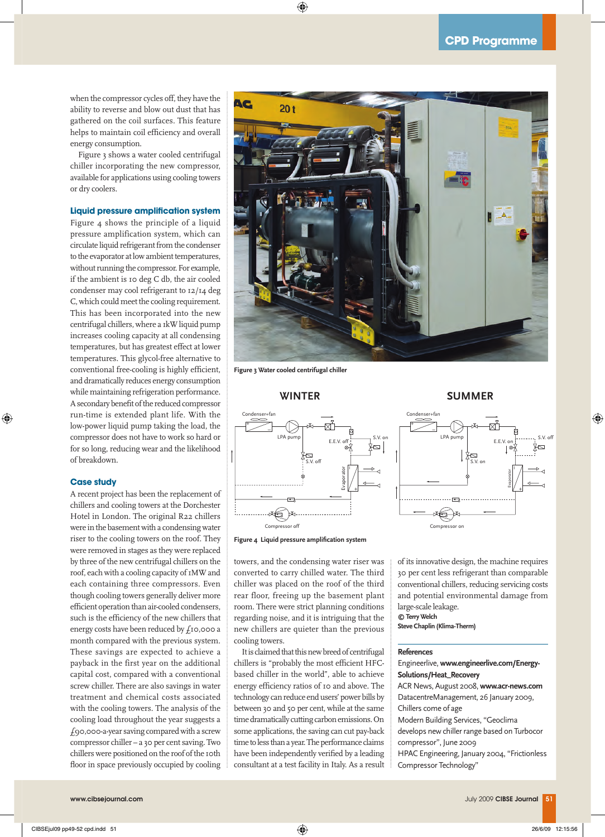when the compressor cycles off, they have the ability to reverse and blow out dust that has gathered on the coil surfaces. This feature helps to maintain coil efficiency and overall energy consumption.

Figure 3 shows a water cooled centrifugal chiller incorporating the new compressor, available for applications using cooling towers or dry coolers.

#### **Liquid pressure amplification system**

Figure 4 shows the principle of a liquid pressure amplification system, which can circulate liquid refrigerant from the condenser to the evaporator at low ambient temperatures, without running the compressor. For example, if the ambient is 10 deg C db, the air cooled condenser may cool refrigerant to 12/14 deg C, which could meet the cooling requirement. This has been incorporated into the new centrifugal chillers, where a 1kW liquid pump increases cooling capacity at all condensing temperatures, but has greatest effect at lower temperatures. This glycol-free alternative to conventional free-cooling is highly efficient, and dramatically reduces energy consumption while maintaining refrigeration performance. A secondary benefit of the reduced compressor run-time is extended plant life. With the low-power liquid pump taking the load, the compressor does not have to work so hard or for so long, reducing wear and the likelihood of breakdown.

#### **Case study**

A recent project has been the replacement of chillers and cooling towers at the Dorchester Hotel in London. The original R22 chillers were in the basement with a condensing water riser to the cooling towers on the roof. They were removed in stages as they were replaced by three of the new centrifugal chillers on the roof, each with a cooling capacity of 1MW and each containing three compressors. Even though cooling towers generally deliver more efficient operation than air-cooled condensers, such is the efficiency of the new chillers that energy costs have been reduced by £10,000 a month compared with the previous system. These savings are expected to achieve a payback in the first year on the additional capital cost, compared with a conventional screw chiller. There are also savings in water treatment and chemical costs associated with the cooling towers. The analysis of the cooling load throughout the year suggests a £90,000-a-year saving compared with a screw compressor chiller – a 30 per cent saving. Two chillers were positioned on the roof of the 10th floor in space previously occupied by cooling



**Figure 3 Water cooled centrifugal chiller**





towers, and the condensing water riser was converted to carry chilled water. The third chiller was placed on the roof of the third rear floor, freeing up the basement plant room. There were strict planning conditions regarding noise, and it is intriguing that the new chillers are quieter than the previous cooling towers.

It is claimed that this new breed of centrifugal chillers is "probably the most efficient HFCbased chiller in the world", able to achieve energy efficiency ratios of 10 and above. The technology can reduce end users' power bills by between 30 and 50 per cent, while at the same time dramatically cutting carbon emissions. On some applications, the saving can cut pay-back time to less than a year. The performance claims have been independently verified by a leading consultant at a test facility in Italy. As a result **SUMMER**



of its innovative design, the machine requires 30 per cent less refrigerant than comparable conventional chillers, reducing servicing costs and potential environmental damage from large-scale leakage. **© Terry Welch**

**Steve Chaplin (Klima-Therm)**

#### **References**

Engineerlive, **www.engineerlive.com/Energy-Solutions/Heat\_Recovery** ACR News, August 2008, **www.acr-news.com** DatacentreManagement, 26 January 2009, Chillers come of age Modern Building Services, "Geoclima develops new chiller range based on Turbocor compressor", June 2009 HPAC Engineering, January 2004, "Frictionless Compressor Technology"